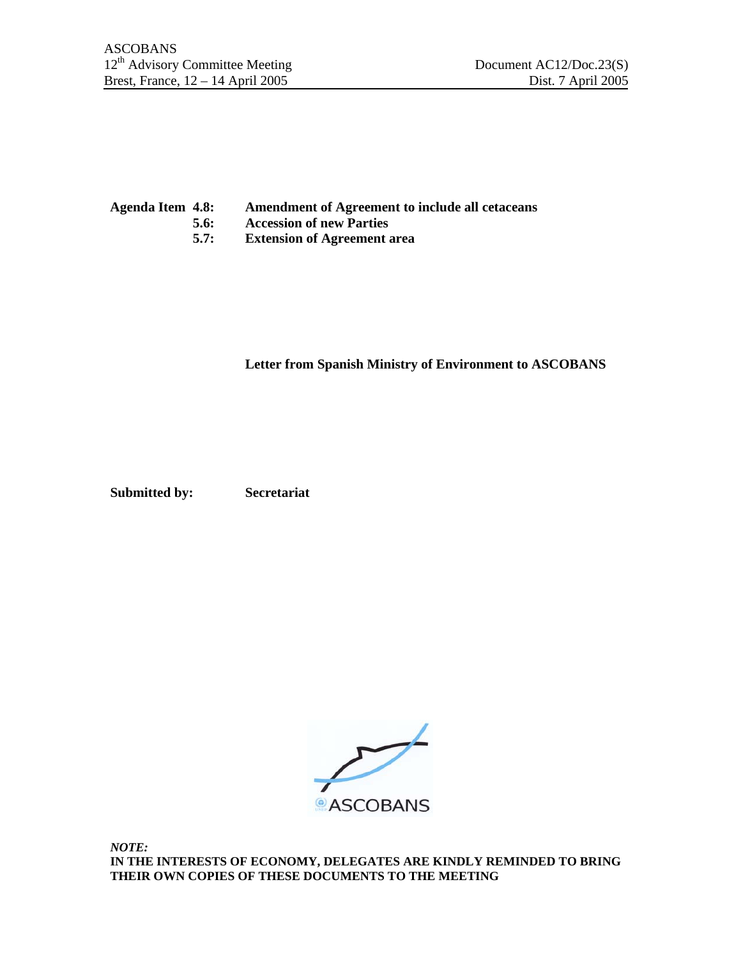## **Agenda Item 4.8: Amendment of Agreement to include all cetaceans**

- **5.6: Accession of new Parties**
- **5.7: Extension of Agreement area**

**Letter from Spanish Ministry of Environment to ASCOBANS** 

**Submitted by: Secretariat** 



*NOTE:*  **IN THE INTERESTS OF ECONOMY, DELEGATES ARE KINDLY REMINDED TO BRING THEIR OWN COPIES OF THESE DOCUMENTS TO THE MEETING**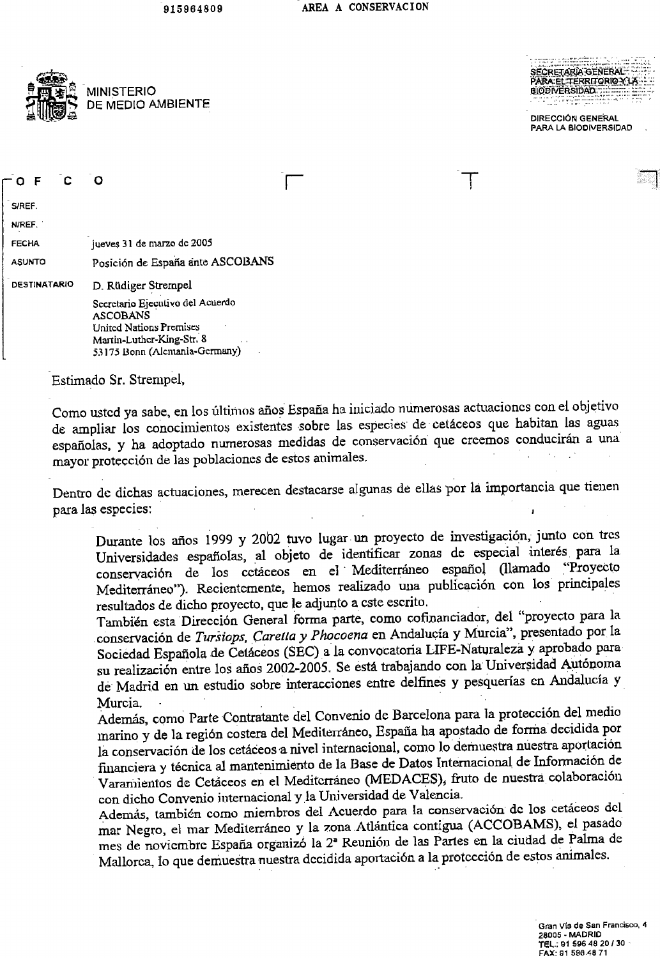AREA A CONSERVACION 915964809





S/REF.

N/REF.

**FECHA** 

jueves 31 de marzo de 2005

PARA:EL:TERRITORIO Y LA GIODIVERSIDAD. ..... the continued of the first of

**DIRECCIÓN GENERAL PARA LA BIODIVERSIDAD** 

Posición de España ante ASCOBANS **ASUNTO** 

D. Rüdiger Strempel **DESTINATARIO** 

> Secretario Ejecutivo del Acuerdo **ASCOBANS** United Nations Premises Martin-Luther-King-Str. 8 53175 Bonn (Alemania-Germany)

Estimado Sr. Strempel,

Como usted ya sabe, en los últimos años España ha iniciado numerosas actuaciones con el objetivo de ampliar los conocimientos existentes sobre las especies de cetáceos que habitan las aguas españolas, y ha adoptado numerosas medidas de conservación que creemos conducirán a una mayor protección de las poblaciones de estos animales.

Dentro de dichas actuaciones, merecen destacarse algunas de ellas por la importancia que tienen para las especies:

Durante los años 1999 y 2002 tuvo lugar un proyecto de investigación, junto con tres Universidades españolas, al objeto de identificar zonas de especial interés para la conservación de los cetáceos en el Mediterráneo español (llamado "Proyecto Mediterráneo"). Recientemente, hemos realizado una publicación con los principales resultados de dicho proyecto, que le adjunto a este escrito.

También esta Dirección General forma parte, como cofinanciador, del "proyecto para la conservación de Tursiops, Caretta y Phocoena en Andalucía y Murcia", presentado por la Sociedad Española de Cetáceos (SEC) a la convocatoria LIFE-Naturaleza y aprobado para su realización entre los años 2002-2005. Se está trabajando con la Universidad Autónoma de Madrid en un estudio sobre interacciones entre delfines y pesquerías en Andalucía y Murcia. -

Además, como Parte Contratante del Convenio de Barcelona para la protección del medio marino y de la región costera del Mediterráneo, España ha apostado de forma decidida por la conservación de los cetáceos a nivel internacional, como lo demuestra nuestra aportación financiera y técnica al mantenimiento de la Base de Datos Internacional de Información de Varamientos de Cetáceos en el Mediterráneo (MEDACES), fruto de nuestra colaboración con dicho Convenio internacional y la Universidad de Valencia. Además, también como miembros del Acuerdo para la conservación de los cetáceos del mar Negro, el mar Mediterráneo y la zona Atlántica contigua (ACCOBAMS), el pasado mes de noviembre España organizó la 2ª Reunión de las Partes en la ciudad de Palma de Mallorca, lo que demuestra nuestra decidida aportación a la protección de estos animales.

> Gran Vís de San Francisco, 4 28005 - MADRID TEL.: 01 596 48 20 / 30 FAX: 91 596 48 71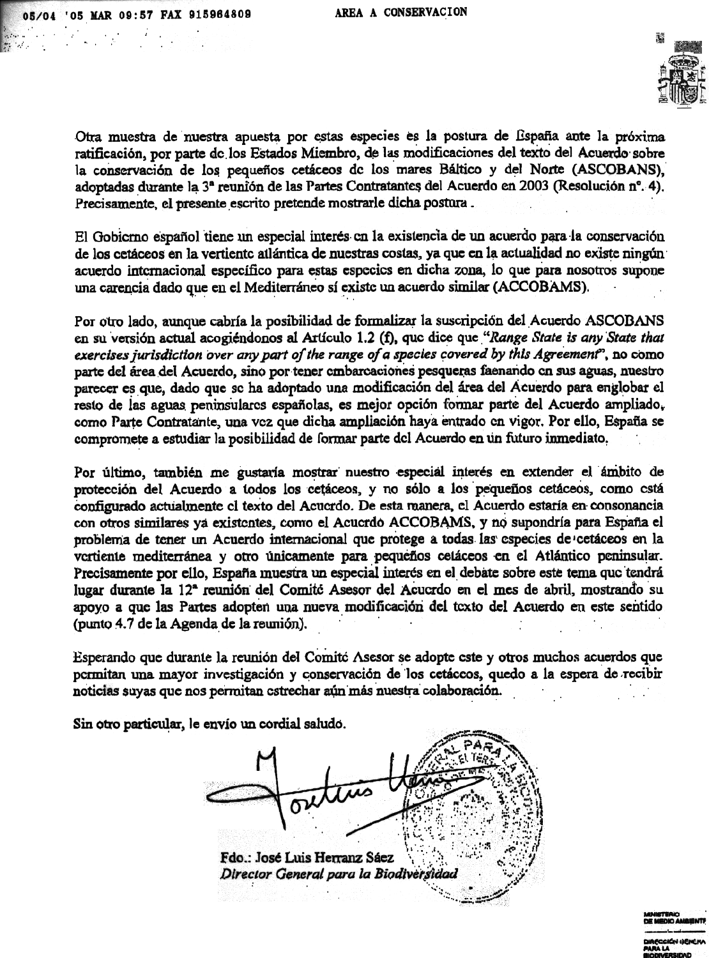alista e controladores.<br>1974 - Carlos Carlos III, controladores e controladores e controladores e controladores e controladores e con

AREA A CONSERVACION



Otra muestra de nuestra apuesta por estas especies es la postura de España ante la próxima ratificación, por parte de los Estados Miembro, de las modificaciones del texto del Acuerdo sobre la conservación de los pequeños cetáceos de los mares Báltico y del Norte (ASCOBANS), adoptadas durante la 3ª reunión de las Partes Contratantes del Acuerdo en 2003 (Resolución nº. 4). Precisamente, el presente escrito pretende mostrarle dicha postura.

El Gobierno español tiene un especial interés en la existencia de un acuerdo para la conservación de los cetáceos en la vertiente atlántica de nuestras costas, ya que en la actualidad no existe ningún acuerdo internacional específico para estas especies en dicha zona, lo que para nosotros supone una carencia dado que en el Mediterráneo sí existe un acuerdo similar (ACCOBAMS).

Por otro lado, aunque cabría la posibilidad de formalizar la suscripción del Acuerdo ASCOBANS en su versión actual acogiéndonos al Artículo 1.2 (f), que dice que "Range State is any State that exercises jurisdiction over any part of the range of a species covered by this Agreement", no como parte del área del Acuerdo, sino por tener embarcaciones pesqueras faenando en sus aguas, nuestro parecer es que, dado que se ha adoptado una modificación del área del Acuerdo para englobar el resto de las aguas peninsulares españolas, es mejor opción formar parte del Acuerdo ampliado, como Parte Contratante, una vez que dicha ampliación haya entrado en vigor. Por ello, España se compromete a estudiar la posibilidad de formar parte del Acuerdo en un futuro inmediato.

Por último, también me gustaría mostrar nuestro especial interés en extender el ámbito de protección del Acuerdo a todos los cetáceos, y no sólo a los pequeños cetáceos, como está configurado actualmente el texto del Acuerdo. De esta manera, el Acuerdo estaría en consonancia con otros similares ya existentes, como el Acuerdo ACCOBAMS, y no supondría para España el problema de tener un Acuerdo internacional que protege a todas las especies de cetáceos en la vertiente mediterránea y otro únicamente para pequeños cetáceos en el Atlántico peninsular. Precisamente por ello, España muestra un especial interés en el debate sobre este tema que tendrá lugar durante la 12<sup>ª</sup> reunión del Comito Asesor del Acucrdo en el mes de abril, mostrando su apoyo a que las Partes adopten una nueva modificación del texto del Acuerdo en este sentido (punto 4.7 de la Agenda de la reunión).

Esperando que durante la reunión del Comité Asesor se adopte este y otros muchos acuerdos que permitan una mayor investigación y conservación de los cetáceos, quedo a la espera de recibir noticias suyas que nos permitan estrechar aún más nuestra colaboración.

Sin otro particular, le envío un cordial saludo.

Fdo.: José Luis Herranz Sáez Director General para la Biodiversidad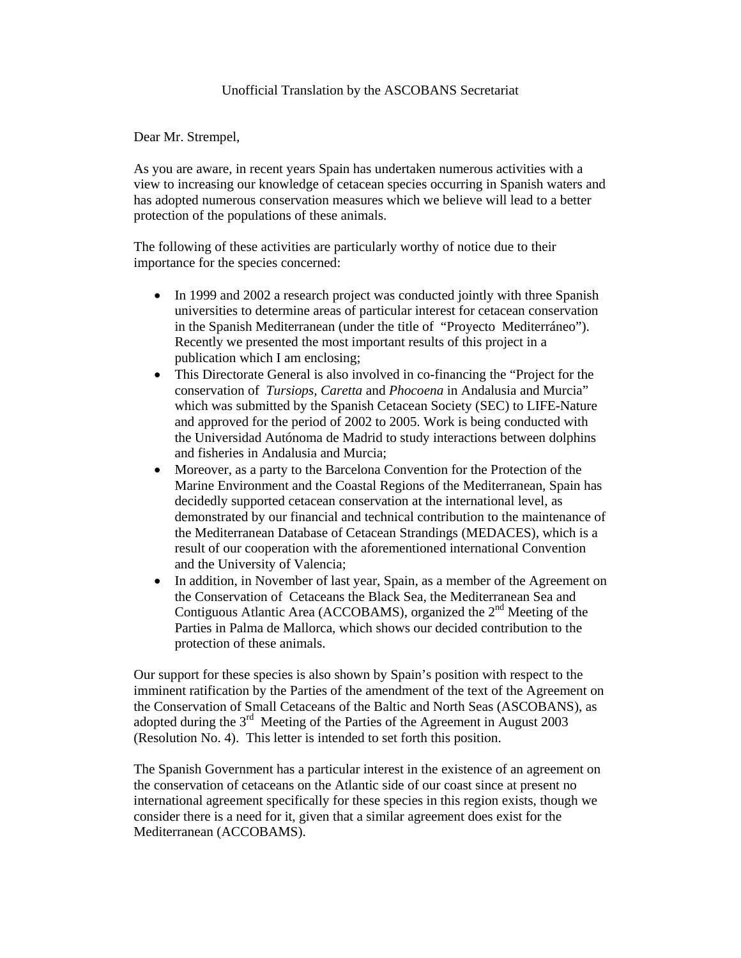Dear Mr. Strempel,

As you are aware, in recent years Spain has undertaken numerous activities with a view to increasing our knowledge of cetacean species occurring in Spanish waters and has adopted numerous conservation measures which we believe will lead to a better protection of the populations of these animals.

The following of these activities are particularly worthy of notice due to their importance for the species concerned:

- In 1999 and 2002 a research project was conducted jointly with three Spanish universities to determine areas of particular interest for cetacean conservation in the Spanish Mediterranean (under the title of "Proyecto Mediterráneo"). Recently we presented the most important results of this project in a publication which I am enclosing;
- This Directorate General is also involved in co-financing the "Project for the conservation of *Tursiops, Caretta* and *Phocoena* in Andalusia and Murcia" which was submitted by the Spanish Cetacean Society (SEC) to LIFE-Nature and approved for the period of 2002 to 2005. Work is being conducted with the Universidad Autónoma de Madrid to study interactions between dolphins and fisheries in Andalusia and Murcia;
- Moreover, as a party to the Barcelona Convention for the Protection of the Marine Environment and the Coastal Regions of the Mediterranean, Spain has decidedly supported cetacean conservation at the international level, as demonstrated by our financial and technical contribution to the maintenance of the Mediterranean Database of Cetacean Strandings (MEDACES), which is a result of our cooperation with the aforementioned international Convention and the University of Valencia;
- In addition, in November of last year, Spain, as a member of the Agreement on the Conservation of Cetaceans the Black Sea, the Mediterranean Sea and Contiguous Atlantic Area (ACCOBAMS), organized the 2<sup>nd</sup> Meeting of the Parties in Palma de Mallorca, which shows our decided contribution to the protection of these animals.

Our support for these species is also shown by Spain's position with respect to the imminent ratification by the Parties of the amendment of the text of the Agreement on the Conservation of Small Cetaceans of the Baltic and North Seas (ASCOBANS), as adopted during the 3rd Meeting of the Parties of the Agreement in August 2003 (Resolution No. 4). This letter is intended to set forth this position.

The Spanish Government has a particular interest in the existence of an agreement on the conservation of cetaceans on the Atlantic side of our coast since at present no international agreement specifically for these species in this region exists, though we consider there is a need for it, given that a similar agreement does exist for the Mediterranean (ACCOBAMS).